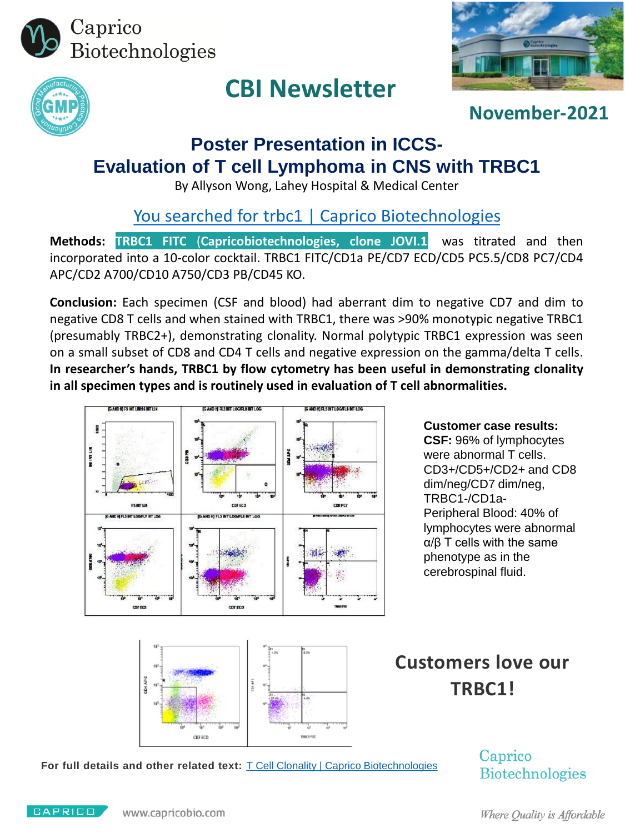



# **CBI Newsletter**



**November-2021**

## **Poster Presentation in ICCS-Evaluation of T cell Lymphoma in CNS with TRBC1**

By Allyson Wong, Lahey Hospital & Medical Center

[You searched for trbc1 | Caprico Biotechnologies](https://www.capricobio.com/?s=trbc1&post_type=product)

**Methods: TRBC1 FITC** (**Capricobiotechnologies, clone JOVI.1**) was titrated and then incorporated into a 10-color cocktail. TRBC1 FITC/CD1a PE/CD7 ECD/CD5 PC5.5/CD8 PC7/CD4 APC/CD2 A700/CD10 A750/CD3 PB/CD45 KO.

**Conclusion:** Each specimen (CSF and blood) had aberrant dim to negative CD7 and dim to negative CD8 T cells and when stained with TRBC1, there was >90% monotypic negative TRBC1 (presumably TRBC2+), demonstrating clonality. Normal polytypic TRBC1 expression was seen on a small subset of CD8 and CD4 T cells and negative expression on the gamma/delta T cells. **In researcher's hands, TRBC1 by flow cytometry has been useful in demonstrating clonality in all specimen types and is routinely used in evaluation of T cell abnormalities.**



**Customer case results: CSF:** 96% of lymphocytes were abnormal T cells. CD3+/CD5+/CD2+ and CD8 dim/neg/CD7 dim/neg, TRBC1-/CD1a-Peripheral Blood: 40% of lymphocytes were abnormal α/β T cells with the same phenotype as in the cerebrospinal fluid.



# **Customers love our TRBC1!**

For full details and other related text: T Cell Clonality [| Caprico Biotechnologies](https://www.capricobio.com/t-cell-clonality/)

Caprico **Biotechnologies**